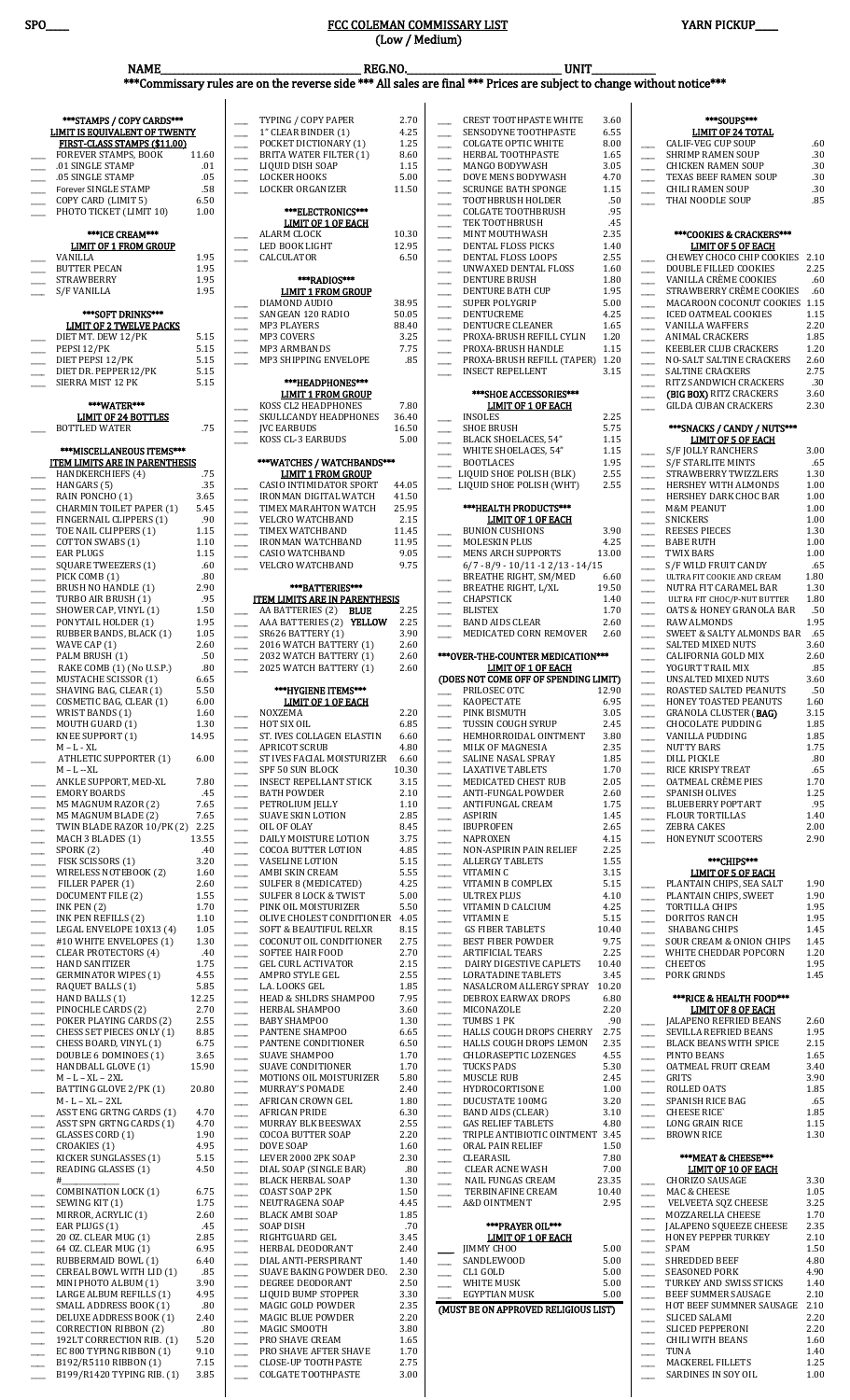\_\_\_\_ EC 800 TYPING RIBBON (1) 9.10  $\equiv$  B192/R5110 RIBBON (1) 7.15 \_\_\_\_ B199/R1420 TYPING RIB. (1) 3.85 \_\_\_\_ PRO SHAVE AFTER SHAVE 1.70  $\mu$  CLOSE-UP TOOTHPASTE 2.75 \_\_\_\_ COLGATE TOOTHPASTE 3.00

 $\qquad \qquad$  TUNA 1.40 \_\_\_\_ MACKEREL FILLETS 1.25 SARDINES IN SOY OIL 1.00

| SPO_ |                                                                   |                  |                                                      | <u>FCC COLEMAN COMMISSARY LIST</u>                                                                                                                      | (Low / Medium) |                                |                                                                    |               |                                                      | YARN PICKUP                                                    |              |
|------|-------------------------------------------------------------------|------------------|------------------------------------------------------|---------------------------------------------------------------------------------------------------------------------------------------------------------|----------------|--------------------------------|--------------------------------------------------------------------|---------------|------------------------------------------------------|----------------------------------------------------------------|--------------|
|      |                                                                   |                  |                                                      |                                                                                                                                                         |                |                                |                                                                    |               |                                                      |                                                                |              |
|      | <b>NAME</b>                                                       |                  |                                                      | <b>REG.NO.</b><br><b>UNIT</b><br>***Commissary rules are on the reverse side *** All sales are final *** Prices are subject to change without notice*** |                |                                |                                                                    |               |                                                      |                                                                |              |
|      |                                                                   |                  |                                                      |                                                                                                                                                         |                |                                |                                                                    |               |                                                      |                                                                |              |
|      |                                                                   |                  |                                                      |                                                                                                                                                         |                |                                |                                                                    |               |                                                      |                                                                |              |
|      | ***STAMPS / COPY CARDS***<br><b>LIMIT IS EQUIVALENT OF TWENTY</b> |                  |                                                      | TYPING / COPY PAPER<br>1" CLEAR BINDER (1)                                                                                                              | 2.70<br>4.25   |                                | <b>CREST TOOTHPASTE WHITE</b><br>SENSODYNE TOOTHPASTE              | 3.60<br>6.55  |                                                      | ***SOUPS***<br><b>LIMIT OF 24 TOTAL</b>                        |              |
|      | FIRST-CLASS STAMPS (\$11.00)                                      |                  |                                                      | POCKET DICTIONARY (1)                                                                                                                                   | 1.25           | $\overline{\phantom{a}}$       | <b>COLGATE OPTIC WHITE</b>                                         | 8.00          |                                                      | <b>CALIF-VEG CUP SOUP</b>                                      | .60          |
|      | FOREVER STAMPS, BOOK<br>.01 SINGLE STAMP                          | 11.60<br>.01     |                                                      | <b>BRITA WATER FILTER (1)</b><br>LIQUID DISH SOAP                                                                                                       | 8.60<br>1.15   | $\overline{\phantom{a}}$       | HERBAL TOOTHPASTE<br><b>MANGO BODYWASH</b>                         | 1.65<br>3.05  | $\mathcal{L}$                                        | SHRIMP RAMEN SOUP<br><b>CHICKEN RAMEN SOUP</b>                 | .30<br>.30   |
|      | .05 SINGLE STAMP                                                  | .05              |                                                      | <b>LOCKER HOOKS</b>                                                                                                                                     | 5.00           | $\overline{\phantom{a}}$       | DOVE MENS BODYWASH                                                 | 4.70          |                                                      | TEXAS BEEF RAMEN SOUP                                          | .30          |
|      | Forever SINGLE STAMP<br>COPY CARD (LIMIT 5)                       | .58<br>6.50      |                                                      | <b>LOCKER ORGANIZER</b>                                                                                                                                 | 11.50          |                                | <b>SCRUNGE BATH SPONGE</b>                                         | 1.15<br>.50   | $\sim$                                               | <b>CHILI RAMEN SOUP</b>                                        | .30          |
|      | PHOTO TICKET (LIMIT 10)                                           | 1.00             |                                                      | ***ELECTRONICS***                                                                                                                                       |                |                                | <b>TOOTHBRUSH HOLDER</b><br><b>COLGATE TOOTHBRUSH</b>              | .95           | $\overline{\phantom{a}}$                             | THAI NOODLE SOUP                                               | .85          |
|      |                                                                   |                  |                                                      | <b>LIMIT OF 1 OF EACH</b>                                                                                                                               |                |                                | TEK TOOTHBRUSH                                                     | .45           |                                                      |                                                                |              |
|      | ***ICE CREAM***<br><b>LIMIT OF 1 FROM GROUP</b>                   |                  |                                                      | ALARM CLOCK<br>LED BOOK LIGHT                                                                                                                           | 10.30<br>12.95 |                                | MINT MOUTHWASH<br>DENTAL FLOSS PICKS                               | 2.35<br>1.40  |                                                      | ***COOKIES & CRACKERS***<br><b>LIMIT OF 5 OF EACH</b>          |              |
|      | VANILLA                                                           | 1.95             |                                                      | CALCULATOR                                                                                                                                              | 6.50           | ш.                             | DENTAL FLOSS LOOPS                                                 | 2.55          |                                                      | CHEWEY CHOCO CHIP COOKIES 2.10                                 |              |
|      | <b>BUTTER PECAN</b>                                               | 1.95             |                                                      |                                                                                                                                                         |                |                                | UNWAXED DENTAL FLOSS                                               | 1.60          |                                                      | DOUBLE FILLED COOKIES                                          | 2.25         |
|      | <b>STRAWBERRY</b><br>S/F VANILLA                                  | 1.95<br>1.95     |                                                      | ***RADIOS***<br><b>LIMIT 1 FROM GROUP</b>                                                                                                               |                | $\overline{\phantom{a}}$       | <b>DENTURE BRUSH</b><br>DENTURE BATH CUP                           | 1.80<br>1.95  | $\overline{\phantom{0}}$<br>$\overline{\phantom{a}}$ | VANILLA CRÈME COOKIES<br>STRAWBERRY CRÈME COOKIES              | .60<br>.60   |
|      |                                                                   |                  |                                                      | DIAMOND AUDIO                                                                                                                                           | 38.95          |                                | <b>SUPER POLYGRIP</b>                                              | 5.00          | <u>a a</u>                                           | MACAROON COCONUT COOKIES 1.15                                  |              |
|      | ***SOFT DRINKS***<br><b>LIMIT OF 2 TWELVE PACKS</b>               |                  |                                                      | SANGEAN 120 RADIO<br><b>MP3 PLAYERS</b>                                                                                                                 | 50.05<br>88.40 |                                | DENTUCREME<br>DENTUCRE CLEANER                                     | 4.25<br>1.65  | $\overline{\phantom{a}}$                             | <b>ICED OATMEAL COOKIES</b><br><b>VANILLA WAFFERS</b>          | 1.15<br>2.20 |
|      | DIET MT. DEW 12/PK                                                | 5.15             |                                                      | MP3 COVERS                                                                                                                                              | 3.25           | $\overline{\phantom{0}}$       | PROXA-BRUSH REFILL CYLIN                                           | 1.20          | $\overline{\phantom{a}}$                             | ANIMAL CRACKERS                                                | 1.85         |
|      | PEPSI 12/PK                                                       | 5.15             | $\overline{\phantom{a}}$                             | MP3 ARMBANDS                                                                                                                                            | 7.75           | $\overline{\phantom{0}}$       | PROXA-BRUSH HANDLE                                                 | 1.15          | $\overline{\phantom{0}}$                             | <b>KEEBLER CLUB CRACKERS</b>                                   | 1.20         |
|      | DIET PEPSI 12/PK<br>DIET DR. PEPPER12/PK                          | 5.15<br>5.15     |                                                      | MP3 SHIPPING ENVELOPE                                                                                                                                   | .85            |                                | PROXA-BRUSH REFILL (TAPER) 1.20<br><b>INSECT REPELLENT</b>         | 3.15          | $\sim$<br>$\overline{\phantom{a}}$                   | NO-SALT SALTINE CRACKERS<br>SALTINE CRACKERS                   | 2.60<br>2.75 |
|      | SIERRA MIST 12 PK                                                 | 5.15             |                                                      | ***HEADPHONES***                                                                                                                                        |                |                                |                                                                    |               | $\overline{\phantom{a}}$                             | RITZ SANDWICH CRACKERS                                         | .30          |
|      | ***WATER***                                                       |                  |                                                      | <b>LIMIT 1 FROM GROUP</b><br>KOSS CL2 HEADPHONES                                                                                                        | 7.80           |                                | ***SHOE ACCESSORIES***<br><b>LIMIT OF 1 OF EACH</b>                |               |                                                      | (BIG BOX) RITZ CRACKERS<br><b>GILDA CUBAN CRACKERS</b>         | 3.60<br>2.30 |
|      | <b>LIMIT OF 24 BOTTLES</b>                                        |                  |                                                      | SKULLCANDY HEADPHONES                                                                                                                                   | 36.40          |                                | <b>INSOLES</b>                                                     | 2.25          |                                                      |                                                                |              |
|      | <b>BOTTLED WATER</b>                                              | .75              |                                                      | <b>JVC EARBUDS</b><br>KOSS CL-3 EARBUDS                                                                                                                 | 16.50<br>5.00  |                                | <b>SHOE BRUSH</b>                                                  | 5.75<br>1.15  |                                                      | ***SNACKS / CANDY / NUTS***<br><b>LIMIT OF 5 OF EACH</b>       |              |
|      | ***MISCELLANEOUS ITEMS***                                         |                  |                                                      |                                                                                                                                                         |                |                                | BLACK SHOELACES, 54"<br>WHITE SHOELACES, 54"                       | 1.15          |                                                      | S/F JOLLY RANCHERS                                             | 3.00         |
|      | <b>ITEM LIMITS ARE IN PARENTHESIS</b>                             |                  |                                                      | ***WATCHES / WATCHBANDS***                                                                                                                              |                |                                | <b>BOOTLACES</b>                                                   | 1.95          | $\overline{\phantom{a}}$                             | <b>S/F STARLITE MINTS</b>                                      | .65          |
|      | <b>HANDKERCHIEFS (4)</b><br>HANGARS (5)                           | .75<br>.35       |                                                      | <u>LIMIT 1 FROM GROUP</u><br><b>CASIO INTIMIDATOR SPORT</b>                                                                                             | 44.05          |                                | LIQUID SHOE POLISH (BLK)<br>LIQUID SHOE POLISH (WHT)               | 2.55<br>2.55  |                                                      | STRAWBERRY TWIZZLERS<br>HERSHEY WITH ALMONDS                   | 1.30<br>1.00 |
|      | RAIN PONCHO (1)                                                   | 3.65             |                                                      | <b>IRONMAN DIGITAL WATCH</b>                                                                                                                            | 41.50          |                                |                                                                    |               | $\overline{\phantom{a}}$                             | HERSHEY DARK CHOC BAR                                          | 1.00         |
|      | CHARMIN TOILET PAPER (1)<br>FINGERNAIL CLIPPERS (1)               | 5.45<br>.90      | $\overline{\phantom{a}}$                             | TIMEX MARAHTON WATCH<br>VELCRO WATCHBAND                                                                                                                | 25.95<br>2.15  |                                | ***HEALTH PRODUCTS***<br><u>LIMIT OF 1 OF EACH</u>                 |               |                                                      | <b>M&amp;M PEANUT</b><br><b>SNICKERS</b>                       | 1.00<br>1.00 |
|      | TOE NAIL CLIPPERS (1)                                             | 1.15             |                                                      | TIMEX WATCHBAND                                                                                                                                         | 11.45          |                                | <b>BUNION CUSHIONS</b>                                             | 3.90          | $\overline{\phantom{0}}$                             | <b>REESES PIECES</b>                                           | 1.30         |
|      | COTTON SWABS (1)                                                  | 1.10             | $\overline{\phantom{0}}$                             | <b>IRONMAN WATCHBAND</b>                                                                                                                                | 11.95          |                                | <b>MOLESKIN PLUS</b>                                               | 4.25          | $\overline{\phantom{a}}$                             | <b>BABE RUTH</b>                                               | 1.00         |
|      | <b>EAR PLUGS</b><br><b>SQUARE TWEEZERS (1)</b>                    | 1.15<br>.60      | $\overline{\phantom{a}}$                             | <b>CASIO WATCHBAND</b><br><b>VELCRO WATCHBAND</b>                                                                                                       | 9.05<br>9.75   |                                | <b>MENS ARCH SUPPORTS</b><br>$6/7 - 8/9 - 10/11 - 12/13 - 14/15$   | 13.00         | $\overline{\phantom{a}}$<br>$\overline{\phantom{0}}$ | <b>TWIX BARS</b><br>S/F WILD FRUIT CANDY                       | 1.00<br>.65  |
|      | PICK COMB (1)                                                     | .80              |                                                      |                                                                                                                                                         |                |                                | BREATHE RIGHT, SM/MED                                              | 6.60          |                                                      | ULTRA FIT COOKIE AND CREAM                                     | 1.80         |
|      | BRUSH NO HANDLE (1)<br>TURBO AIR BRUSH (1)                        | 2.90<br>.95      |                                                      | ***BATTERIES***<br><b>ITEM LIMITS ARE IN PARENTHESIS</b>                                                                                                |                |                                | <b>BREATHE RIGHT, L/XL</b><br>CHAPSTICK                            | 19.50<br>1.40 | $\overline{\phantom{a}}$                             | NUTRA FIT CARAMEL BAR<br>ULTRA FIT CHOC/P-NUT BUTTER           | 1.30<br>1.80 |
|      | SHOWER CAP, VINYL (1)                                             | 1.50             |                                                      | AA BATTERIES (2) BLUE                                                                                                                                   | 2.25           | ----                           | <b>BLISTEX</b>                                                     | 1.70          | $\overline{\phantom{a}}$                             | <b>OATS &amp; HONEY GRANOLA BAR</b>                            | .50          |
|      | PONYTAIL HOLDER (1)                                               | 1.95<br>1.05     |                                                      | AAA BATTERIES (2) YELLOW                                                                                                                                | 2.25<br>3.90   |                                | <b>BAND AIDS CLEAR</b>                                             | 2.60<br>2.60  | ЦÚ.                                                  | <b>RAW ALMONDS</b><br><b>SWEET &amp; SALTY ALMONDS BAR .65</b> | 1.95         |
|      | RUBBER BANDS, BLACK (1)<br>WAVE CAP (1)                           | 2.60             |                                                      | SR626 BATTERY (1)<br>2016 WATCH BATTERY (1)                                                                                                             | 2.60           |                                | MEDICATED CORN REMOVER                                             |               |                                                      | SALTED MIXED NUTS                                              | 3.60         |
|      | PALM BRUSH (1)                                                    | .50              |                                                      | 2032 WATCH BATTERY (1)                                                                                                                                  | 2.60           |                                | ***OVER-THE-COUNTER MEDICATION***                                  |               |                                                      | CALIFORNIA GOLD MIX                                            | 2.60         |
|      | RAKE COMB (1) (No U.S.P.)<br>MUSTACHE SCISSOR (1)                 | .80<br>6.65      |                                                      | 2025 WATCH BATTERY (1)                                                                                                                                  | 2.60           |                                | <b>LIMIT OF 1 OF EACH</b><br>(DOES NOT COME OFF OF SPENDING LIMIT) |               |                                                      | YOGURT TRAIL MIX<br>UNSALTED MIXED NUTS                        | .85<br>3.60  |
|      | SHAVING BAG, CLEAR (1)                                            | 5.50             |                                                      | ***HYGIENE ITEMS***                                                                                                                                     |                |                                | PRILOSEC OTC                                                       | 12.90         | $\overline{\phantom{a}}$                             | ROASTED SALTED PEANUTS                                         | .50          |
|      | COSMETIC BAG, CLEAR (1)<br>WRIST BANDS (1)                        | 6.00<br>1.60     |                                                      | <b>LIMIT OF 1 OF EACH</b><br>NOXZEMA                                                                                                                    | 2.20           |                                | KAOPECTATE<br>PINK BISMUTH                                         | 6.95<br>3.05  | $\overline{\phantom{a}}$                             | HONEY TOASTED PEANUTS<br>GRANOLA CLUSTER ( <b>BAG)</b>         | 1.60<br>3.15 |
|      | MOUTH GUARD (1)                                                   | 1.30             |                                                      | HOT SIX OIL                                                                                                                                             | 6.85           |                                | TUSSIN COUGH SYRUP                                                 | 2.45          | $\overline{\phantom{a}}$<br>$\overline{\phantom{a}}$ | <b>CHOCOLATE PUDDING</b>                                       | 1.85         |
|      | <b>KNEE SUPPORT (1)</b>                                           | 14.95            |                                                      | ST. IVES COLLAGEN ELASTIN                                                                                                                               | 6.60           |                                | HEMHORROIDAL OINTMENT                                              | 3.80          | $\overline{\phantom{a}}$                             | VANILLA PUDDING                                                | 1.85         |
|      | $M - L - XL$<br><b>ATHLETIC SUPPORTER (1)</b>                     | 6.00             |                                                      | <b>APRICOT SCRUB</b><br>ST IVES FACIAL MOISTURIZER                                                                                                      | 4.80<br>6.60   |                                | MILK OF MAGNESIA<br>SALINE NASAL SPRAY                             | 2.35<br>1.85  | $\overline{\phantom{0}}$<br>$\overline{\phantom{a}}$ | <b>NUTTY BARS</b><br><b>DILL PICKLE</b>                        | 1.75<br>.80  |
|      | M – L --XL                                                        |                  |                                                      | SPF 50 SUN BLOCK                                                                                                                                        | 10.30          | $\overline{\phantom{a}}$       | <b>LAXATIVE TABLETS</b>                                            | 1.70          | $\overline{\phantom{a}}$                             | RICE KRISPY TREAT                                              | .65          |
|      | ANKLE SUPPORT, MED-XL<br><b>EMORY BOARDS</b>                      | 7.80<br>.45      |                                                      | <b>INSECT REPELLANT STICK</b><br><b>BATH POWDER</b>                                                                                                     | 3.15<br>2.10   |                                | MEDICATED CHEST RUB<br>ANTI-FUNGAL POWDER                          | 2.05<br>2.60  | $\overline{\phantom{a}}$                             | <b>OATMEAL CRÈME PIES</b><br><b>SPANISH OLIVES</b>             | 1.70<br>1.25 |
|      | M5 MAGNUM RAZOR (2)                                               | 7.65             | $\overline{\phantom{0}}$                             | PETROLIUM JELLY                                                                                                                                         | 1.10           |                                | ANTIFUNGAL CREAM                                                   | 1.75          | $\overline{\phantom{a}}$<br>$\overline{\phantom{a}}$ | <b>BLUEBERRY POPTART</b>                                       | .95          |
|      | M5 MAGNUM BLADE (2)                                               | 7.65             | $\overline{\phantom{a}}$                             | <b>SUAVE SKIN LOTION</b>                                                                                                                                | 2.85           | $\overline{\phantom{a}}$       | <b>ASPIRIN</b>                                                     | 1.45          | $\overline{\phantom{a}}$                             | <b>FLOUR TORTILLAS</b>                                         | 1.40         |
|      | TWIN BLADE RAZOR 10/PK (2)<br>MACH 3 BLADES (1)                   | 2.25<br>13.55    |                                                      | OIL OF OLAY<br>DAILY MOISTURE LOTION                                                                                                                    | 8.45<br>3.75   |                                | <b>IBUPROFEN</b><br><b>NAPROXEN</b>                                | 2.65<br>4.15  |                                                      | <b>ZEBRA CAKES</b><br>HONEYNUT SCOOTERS                        | 2.00<br>2.90 |
|      | SPORK(2)                                                          | .40              |                                                      | <b>COCOA BUTTER LOTION</b>                                                                                                                              | 4.85           |                                | NON-ASPIRIN PAIN RELIEF                                            | 2.25          |                                                      |                                                                |              |
|      | FISK SCISSORS (1)<br>WIRELESS NOTEBOOK (2)                        | $3.20\,$<br>1.60 |                                                      | <b>VASELINE LOTION</b><br>AMBI SKIN CREAM                                                                                                               | 5.15<br>5.55   | $\overline{\phantom{a}}$       | <b>ALLERGY TABLETS</b><br>VITAMIN C                                | 1.55<br>3.15  |                                                      | ***CHIPS***<br><b>LIMIT OF 5 OF EACH</b>                       |              |
|      | FILLER PAPER (1)                                                  | 2.60             |                                                      | SULFER 8 (MEDICATED)                                                                                                                                    | 4.25           |                                | VITAMIN B COMPLEX                                                  | 5.15          |                                                      | PLANTAIN CHIPS, SEA SALT                                       | 1.90         |
|      | DOCUMENT FILE (2)<br>INK PEN $(2)$                                | 1.55<br>1.70     | $\overline{\phantom{a}}$                             | <b>SULFER 8 LOCK &amp; TWIST</b><br>PINK OIL MOISTURIZER                                                                                                | 5.00<br>5.50   | $\overline{\phantom{a}}$       | <b>ULTREX PLUS</b><br>VITAMIN D CALCIUM                            | 4.10<br>4.25  | $\overline{\phantom{a}}$                             | PLANTAIN CHIPS, SWEET<br>TORTILLA CHIPS                        | 1.90<br>1.95 |
|      | INK PEN REFILLS (2)                                               | 1.10             | $\overline{\phantom{0}}$<br>$\overline{\phantom{a}}$ | OLIVE CHOLEST CONDITIONER                                                                                                                               | 4.05           | $\overline{\phantom{a}}$       | <b>VITAMINE</b>                                                    | 5.15          | $\overline{\phantom{0}}$                             | <b>DORITOS RANCH</b>                                           | 1.95         |
|      | LEGAL ENVELOPE 10X13 (4)                                          | 1.05             | $\frac{1}{2}$                                        | SOFT & BEAUTIFUL RELXR                                                                                                                                  | 8.15           |                                | <b>GS FIBER TABLETS</b>                                            | 10.40         | ш.                                                   | <b>SHABANG CHIPS</b>                                           | 1.45         |
|      | #10 WHITE ENVELOPES (1)<br><b>CLEAR PROTECTORS (4)</b>            | 1.30<br>.40      |                                                      | COCONUT OIL CONDITIONER<br><b>SOFTEE HAIR FOOD</b>                                                                                                      | 2.75<br>2.70   |                                | <b>BEST FIBER POWDER</b><br><b>ARTIFICIAL TEARS</b>                | 9.75<br>2.25  | $\overline{\phantom{a}}$                             | <b>SOUR CREAM &amp; ONION CHIPS</b><br>WHITE CHEDDAR POPCORN   | 1.45<br>1.20 |
|      | <b>HAND SANITIZER</b>                                             | 1.75             |                                                      | <b>GEL CURL ACTIVATOR</b>                                                                                                                               | 2.15           | ш.                             | DAIRY DIGESTIVE CAPLETS                                            | 10.40         | $\overline{\phantom{a}}$                             | <b>CHEETOS</b>                                                 | 1.95         |
|      | <b>GERMINATOR WIPES (1)</b><br>RAQUET BALLS (1)                   | 4.55<br>5.85     |                                                      | AMPRO STYLE GEL<br>L.A. LOOKS GEL                                                                                                                       | 2.55<br>1.85   |                                | <b>LORATADINE TABLETS</b><br>NASALCROM ALLERGY SPRAY               | 3.45<br>10.20 |                                                      | PORK GRINDS                                                    | 1.45         |
|      | HAND BALLS (1)                                                    | 12.25            | $\overline{\phantom{0}}$                             | HEAD & SHLDRS SHAMPOO                                                                                                                                   | 7.95           |                                | DEBROX EARWAX DROPS                                                | 6.80          |                                                      | <b>***RICE &amp; HEALTH FOOD***</b>                            |              |
|      | PINOCHLE CARDS (2)                                                | 2.70<br>2.55     | $\overline{\phantom{a}}$                             | HERBAL SHAMPOO<br><b>BABY SHAMPOO</b>                                                                                                                   | 3.60<br>1.30   |                                | MICONAZOLE<br>TUMBS 1 PK                                           | 2.20<br>.90   |                                                      | <b>LIMIT OF 8 OF EACH</b>                                      |              |
|      | POKER PLAYING CARDS (2)<br>CHESS SET PIECES ONLY (1)              | 8.85             | $\frac{1}{2}$                                        | PANTENE SHAMPOO                                                                                                                                         | 6.65           | $\overline{\phantom{a}}$<br>ш. | HALLS COUGH DROPS CHERRY                                           | 2.75          |                                                      | JALAPENO REFRIED BEANS<br>SEVILLA REFRIED BEANS                | 2.60<br>1.95 |
|      | CHESS BOARD, VINYL (1)                                            | 6.75             |                                                      | PANTENE CONDITIONER                                                                                                                                     | 6.50           |                                | HALLS COUGH DROPS LEMON                                            | 2.35          |                                                      | <b>BLACK BEANS WITH SPICE</b>                                  | 2.15         |
|      | DOUBLE 6 DOMINOES (1)<br>HANDBALL GLOVE (1)                       | 3.65<br>15.90    | $\overline{\phantom{0}}$                             | <b>SUAVE SHAMPOO</b><br><b>SUAVE CONDITIONER</b>                                                                                                        | 1.70<br>1.70   | ш.                             | CHLORASEPTIC LOZENGES<br><b>TUCKS PADS</b>                         | 4.55<br>5.30  | $\overline{\phantom{a}}$                             | PINTO BEANS<br>OATMEAL FRUIT CREAM                             | 1.65<br>3.40 |
|      | M – L – XL – 2XL                                                  |                  | $\overline{\phantom{0}}$                             | <b>MOTIONS OIL MOISTURIZER</b>                                                                                                                          | 5.80           | $\overline{\phantom{a}}$       | MUSCLE RUB                                                         | 2.45          |                                                      | GRITS                                                          | 3.90         |
|      | BATTING GLOVE 2/PK (1)<br>$M - L - XL - 2XL$                      | 20.80            |                                                      | MURRAY'S POMADE<br>AFRICAN CROWN GEL                                                                                                                    | 2.40<br>1.80   |                                | <b>HYDROCORTISONE</b><br>DUCUSTATE 100MG                           | 1.00<br>3.20  | $\overline{\phantom{a}}$                             | ROLLED OATS<br>SPANISH RICE BAG                                | 1.85<br>.65  |
|      | ASST ENG GRTNG CARDS (1)                                          | 4.70             | $\overline{\phantom{0}}$                             | <b>AFRICAN PRIDE</b>                                                                                                                                    | 6.30           | $\overline{\phantom{a}}$       | <b>BAND AIDS (CLEAR)</b>                                           | 3.10          | $\sim$<br>$\overline{\phantom{0}}$                   | <b>CHEESE RICE</b>                                             | 1.85         |
|      | ASST SPN GRTNG CARDS (1)                                          | 4.70             | $\frac{1}{1}$                                        | MURRAY BLK BEESWAX                                                                                                                                      | 2.55           | $\overline{\phantom{a}}$       | <b>GAS RELIEF TABLETS</b>                                          | 4.80          | $\overline{\phantom{a}}$                             | <b>LONG GRAIN RICE</b>                                         | 1.15         |
|      | GLASSES CORD (1)<br>CROAKIES (1)                                  | 1.90<br>4.95     | $\overline{\phantom{a}}$<br>$\overline{\phantom{0}}$ | <b>COCOA BUTTER SOAP</b><br><b>DOVE SOAP</b>                                                                                                            | 2.20<br>1.60   | $\overline{\phantom{a}}$       | TRIPLE ANTIBIOTIC OINTMENT 3.45<br>ORAL PAIN RELIEF                | 1.50          |                                                      | <b>BROWN RICE</b>                                              | 1.30         |
|      | KICKER SUNGLASSES (1)                                             | 5.15             |                                                      | LEVER 2000 2PK SOAP                                                                                                                                     | 2.30           | ----                           | CLEARASIL                                                          | 7.80          |                                                      | ***MEAT & CHEESE***                                            |              |
|      | READING GLASSES (1)<br>#                                          | 4.50             |                                                      | DIAL SOAP (SINGLE BAR)<br><b>BLACK HERBAL SOAP</b>                                                                                                      | .80<br>1.30    |                                | <b>CLEAR ACNE WASH</b><br><b>NAIL FUNGAS CREAM</b>                 | 7.00<br>23.35 |                                                      | <b>LIMIT OF 10 OF EACH</b><br><b>CHORIZO SAUSAGE</b>           | 3.30         |
|      | <b>COMBINATION LOCK (1)</b>                                       | 6.75             | $\overline{\phantom{0}}$                             | <b>COAST SOAP 2PK</b>                                                                                                                                   | 1.50           | $\overline{\phantom{a}}$       | TERBINAFINE CREAM                                                  | 10.40         |                                                      | MAC & CHEESE                                                   | 1.05         |
|      | SEWING KIT (1)                                                    | 1.75             | $\overline{\phantom{0}}$                             | NEUTRAGENA SOAP                                                                                                                                         | 4.45           |                                | A&D OINTMENT                                                       | 2.95          | $\overline{\phantom{a}}$                             | <b>VELVEETA SQZ CHEESE</b>                                     | 3.25         |
|      | MIRROR, ACRYLIC (1)<br>EAR PLUGS (1)                              | 2.60<br>.45      |                                                      | <b>BLACK AMBI SOAP</b><br><b>SOAP DISH</b>                                                                                                              | 1.85<br>.70    |                                | ***PRAYER OIL***                                                   |               |                                                      | MOZZARELLA CHEESE<br>JALAPENO SQUEEZE CHEESE                   | 1.70<br>2.35 |
|      | 20 OZ. CLEAR MUG (1)                                              | 2.85             | $\overline{\phantom{a}}$                             | RIGHTGUARD GEL                                                                                                                                          | 3.45           |                                | <b>LIMIT OF 1 OF EACH</b>                                          |               |                                                      | HONEY PEPPER TURKEY                                            | 2.10         |
|      | 64 OZ. CLEAR MUG (1)<br>RUBBERMAID BOWL (1)                       | 6.95<br>6.40     | $\overline{\phantom{a}}$                             | HERBAL DEODORANT<br>DIAL ANTI-PERSPIRANT                                                                                                                | 2.40<br>1.40   |                                | <b>IIMMY CHOO</b><br>SANDLEWOOD                                    | 5.00<br>5.00  |                                                      | SPAM<br>SHREDDED BEEF                                          | 1.50<br>4.80 |
|      | CEREAL BOWL WITH LID (1)                                          | .85              |                                                      | SUAVE BAKING POWDER DEO.                                                                                                                                | 2.30           |                                | CL1 GOLD                                                           | 5.00          |                                                      | <b>SEASONED PORK</b>                                           | 4.90         |
|      | MINI PHOTO ALBUM (1)<br>LARGE ALBUM REFILLS (1)                   | 3.90             |                                                      | DEGREE DEODORANT                                                                                                                                        | 2.50           |                                | <b>WHITE MUSK</b>                                                  | 5.00          |                                                      | TURKEY AND SWISS STICKS                                        | 1.40         |
|      | SMALL ADDRESS BOOK (1)                                            | 4.95<br>.80      |                                                      | LIQUID BUMP STOPPER<br>MAGIC GOLD POWDER                                                                                                                | 3.30<br>2.35   |                                | <b>EGYPTIAN MUSK</b><br>(MUST BE ON APPROVED RELIGIOUS LIST)       | 5.00          |                                                      | BEEF SUMMER SAUSAGE<br>HOT BEEF SUMMNER SAUSAGE 2.10           | 2.10         |
|      | DELUXE ADDRESS BOOK (1)                                           | 2.40             |                                                      | MAGIC BLUE POWDER                                                                                                                                       | 2.20           |                                |                                                                    |               |                                                      | <b>SLICED SALAMI</b>                                           | 2.20         |
|      | <b>CORRECTION RIBBON (2)</b><br>192LT CORRECTION RIB. (1)         | .80<br>5.20      |                                                      | MAGIC SMOOTH<br>PRO SHAVE CREAM                                                                                                                         | 3.80<br>1.65   |                                |                                                                    |               |                                                      | <b>SLICED PEPPERONI</b><br><b>CHILI WITH BEANS</b>             | 2.20<br>1.60 |
|      |                                                                   |                  |                                                      |                                                                                                                                                         |                |                                |                                                                    |               |                                                      |                                                                |              |